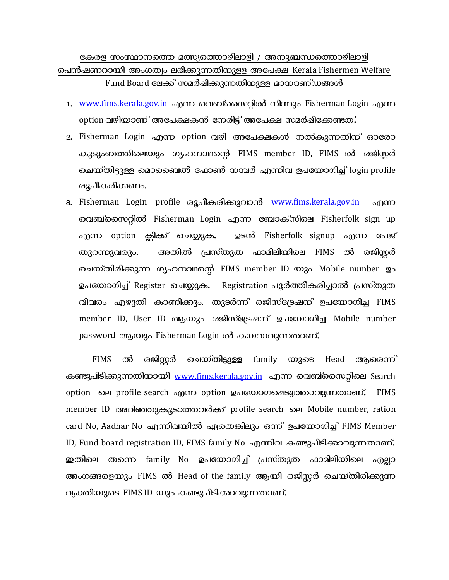## കേരള സംസ്ഥാനത്തെ മത്സ്യത്തൊഴിലാളി / അനുബന്ധത്തൊഴിലാളി ചെൻഷണറായി അംഗത്വം ലഭിക്കുന്നതിനുള്ള അപേക്ഷ Kerala Fishermen Welfare Fund Board ലേക്ക് സമർഷിക്കുന്നതിനുള്ള മാനദണ്ഡങ്ങൾ

- 1. www.fims.kerala.gov.in എന്ന വെബ്സൈറ്റിൽ നിന്നും Fisherman Login എന്ന option വഴിയാണ് അപേക്ഷകൻ നേരിട്ട് അപേക്ഷ സമർഷിക്കേണ്ടത്.
- 2. Fisherman Login എന്ന option വഴി അപേക്ഷകൾ നൽകുന്നതിന് ഓരോ കുടുംബത്തിലെയും ഗൃഹനാഥന്റെ FIMS member ID, FIMS ൽ രജിസ്സർ ചെയ്തിട്ടുള്ള മൊബൈൽ ഫോൺ നമ്പർ എന്നിവ ഉപയോഗിച്ച് login profile രൂപീകരിക്കണം.
- 3. Fisherman Login profile രൂപീകരിക്കുവാൻ www.fims.kerala.gov.in എന്ന വെബ്സൈറ്റിൽ Fisherman Login എന്ന ബോക്സിലെ Fisherfolk sign up എന്ന option ക്ലിക്ക് ചെയ്യുക. ഉടൻ Fisherfolk signup എന്ന പേജ് അതിൽ പ്രസ്തുത ഫാമിലിയിലെ FIMS ൽ രജിസ്സർ തുറന്നുവരും. ചെയ്തിരിക്കുന്ന ഗൃഹനാഥന്റെ FIMS member ID യും Mobile number ഉം ഉപയോഗിച്ച് Register ചെയ്യുക. Registration പൂർത്തീകരിച്ചാൽ പ്രസ്തുത വിവരം എഴുതി കാണിക്കും. തുടർന്ന് രജിസ്ട്രേഷന് ഉപയോഗിച്ച FIMS member ID, User ID ആയും രജിസ്ട്രേഷന് ഉപയോഗിച്ച Mobile number password ആയും Fisherman Login ൽ കയറാവുന്നതാണ്.

രജിസ്കർ ചെയ്തിട്ടുള്ള **FIMS** ൽ family യുടെ Head ആരെന്ന് കണ്ടുപിടിക്കുന്നതിനായി www.fims.kerala.gov.in എന്ന വെബ്സൈറ്റിലെ Search option ലെ profile search എന്ന option ഉപയോഗഷെടുത്താവുന്നതാണ്. **FIMS** member ID അറിഞ്ഞുകൂടാത്തവർക്ക് profile search ലെ Mobile number, ration card No, Aadhar No എന്നിവയിൽ ഏതെങ്കിലും ഒന്ന് ഉപയോഗിച്ച് FIMS Member ID, Fund board registration ID, FIMS family No എന്നിവ കണ്ടുപിടിക്കാവുന്നതാണ്. ഇതിലെ തന്നെ family No ഉപയോഗിച്ച് പ്രസ്തുത ഫാമിലിയിലെ എല്ലാ അംഗങ്ങളെയും FIMS ൽ Head of the family ആയി രജിസ്റ്റർ ചെയ്തിരിക്കുന്ന വ്യക്തിയുടെ FIMS ID യും കണ്ടുപിടിക്കാവുന്നതാണ്.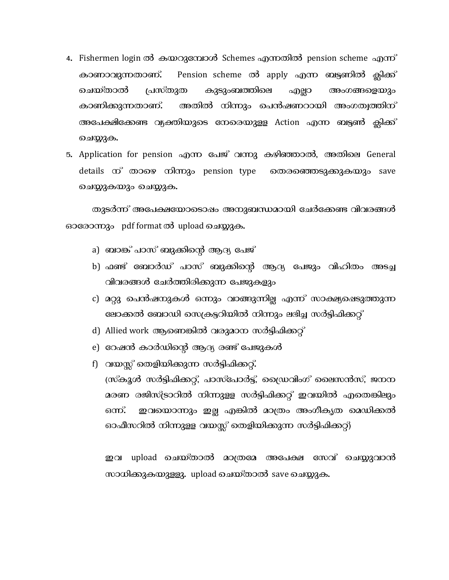- 4. Fishermen login ൽ കയറുമ്പോൾ Schemes എന്നതിൽ pension scheme എന്ന<sup>°</sup> കാണാവുന്നതാണ്. Pension scheme ൽ apply എന്ന ബട്ടണിൽ ക്ലിക്ക് ചെയ്താൽ പ്രസ്തുത കുടുംബത്തിലെ എല്ലാ അംഗങ്ങളെയും കാണിക്കുന്നതാണ്. അതിൽ നിന്നും പെൻഷണറായി അംഗത്വത്തിന് അപേക്ഷിക്കേണ്ട വ്യക്തിയുടെ നേരെയുള്ള Action എന്ന ബട്ടൺ ക്ലിക്ക് ചെയ്യുക.
- 5. Application for pension എന്ന പേജ് വന്നു കഴിഞ്ഞാൽ, അതിലെ General details ന് താഴെ നിന്നും pension type തെരഞ്ഞെടുക്കുകയും save ചെയ്യുകയും ചെയ്യുക.

തുടർന്ന് അപേക്ഷയോടൊഷം അനുബന്ധമായി ചേർക്കേണ്ട വിവരങ്ങൾ ഓരോന്നും pdf format ൽ upload ചെയ്യുക.

- a) ബാങ്ക് പാസ് ബുക്കിന്റെ ആദ്യ പേജ്
- b) ഫണ്ട് ബോർഡ് പാസ് ബുക്കിന്റെ ആദ്യ പേജും വിഹിതം അടച്ച വിവരങ്ങൾ ചേർത്തിരിക്കുന്ന പേജുകളും
- c) മറ്റു പെൻഷനുകൾ ഒന്നും വാങ്ങുന്നില്ല എന്ന<sup>്</sup> സാക്ഷ്യഷെടുത്തുന്ന ലോക്കൽ ബോഡി സെക്രട്ടറിയിൽ നിന്നും ലഭിച്ച സർട്ടിഫിക്കറ്റ്
- d) Allied work ആണെങ്കിൽ വരുമാന സർട്ടിഫിക്കറ്റ്
- e) റേഷൻ കാർഡിന്റെ ആദ്യ രണ്ട് പേജുകൾ

f) വയസ്സ് തെളിയിക്കുന്ന സർട്ടിഫിക്കറ്റ്**.** (സ്കൂൾ സർട്ടിഫിക്കറ്റ്, പാസ്പോർട്ട്, ഡ്രൈവിംഗ് ലൈസൻസ്, ജനന മരണ രജിസ്ട്രാറിൽ നിന്നുള്ള സർട്ടിഫിക്കറ്റ് ഇവയിൽ എതെങ്കിലും ഒന്ന്. ഇവയൊന്നും ഇല്ല എങ്കിൽ മാത്രം അംഗീകൃത മെഡിക്കൽ ഓഫീസറിൽ നിന്നുള്ള വയസ്സ് തെളിയിക്കുന്ന സർട്ടിഫിക്കറ്റ്)

upload ചെയ്താൽ മാത്രമേ അപേക്ഷ സേവ് ചെയ്യുവാൻ ഇവ സാധിക്കുകയുള്ളു. upload ചെയ്താൽ save ചെയ്യുക.